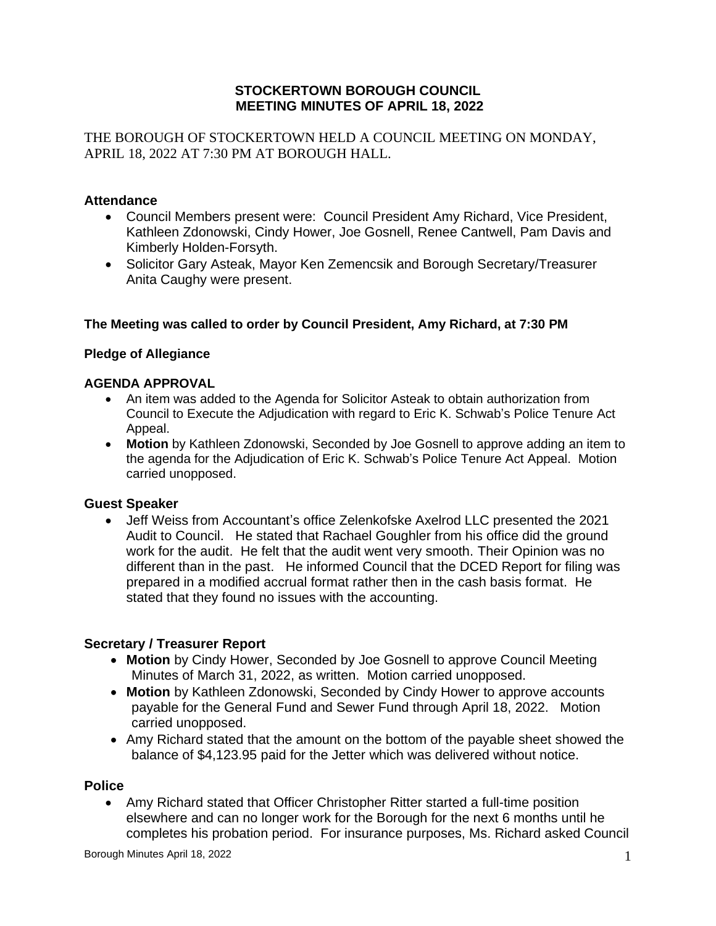## **STOCKERTOWN BOROUGH COUNCIL MEETING MINUTES OF APRIL 18, 2022**

THE BOROUGH OF STOCKERTOWN HELD A COUNCIL MEETING ON MONDAY, APRIL 18, 2022 AT 7:30 PM AT BOROUGH HALL.

## **Attendance**

- Council Members present were: Council President Amy Richard, Vice President, Kathleen Zdonowski, Cindy Hower, Joe Gosnell, Renee Cantwell, Pam Davis and Kimberly Holden-Forsyth.
- Solicitor Gary Asteak, Mayor Ken Zemencsik and Borough Secretary/Treasurer Anita Caughy were present.

### **The Meeting was called to order by Council President, Amy Richard, at 7:30 PM**

## **Pledge of Allegiance**

### **AGENDA APPROVAL**

- An item was added to the Agenda for Solicitor Asteak to obtain authorization from Council to Execute the Adjudication with regard to Eric K. Schwab's Police Tenure Act Appeal.
- **Motion** by Kathleen Zdonowski, Seconded by Joe Gosnell to approve adding an item to the agenda for the Adjudication of Eric K. Schwab's Police Tenure Act Appeal. Motion carried unopposed.

### **Guest Speaker**

• Jeff Weiss from Accountant's office Zelenkofske Axelrod LLC presented the 2021 Audit to Council. He stated that Rachael Goughler from his office did the ground work for the audit. He felt that the audit went very smooth. Their Opinion was no different than in the past. He informed Council that the DCED Report for filing was prepared in a modified accrual format rather then in the cash basis format. He stated that they found no issues with the accounting.

### **Secretary / Treasurer Report**

- **Motion** by Cindy Hower, Seconded by Joe Gosnell to approve Council Meeting Minutes of March 31, 2022, as written. Motion carried unopposed.
- **Motion** by Kathleen Zdonowski, Seconded by Cindy Hower to approve accounts payable for the General Fund and Sewer Fund through April 18, 2022. Motion carried unopposed.
- Amy Richard stated that the amount on the bottom of the payable sheet showed the balance of \$4,123.95 paid for the Jetter which was delivered without notice.

### **Police**

• Amy Richard stated that Officer Christopher Ritter started a full-time position elsewhere and can no longer work for the Borough for the next 6 months until he completes his probation period. For insurance purposes, Ms. Richard asked Council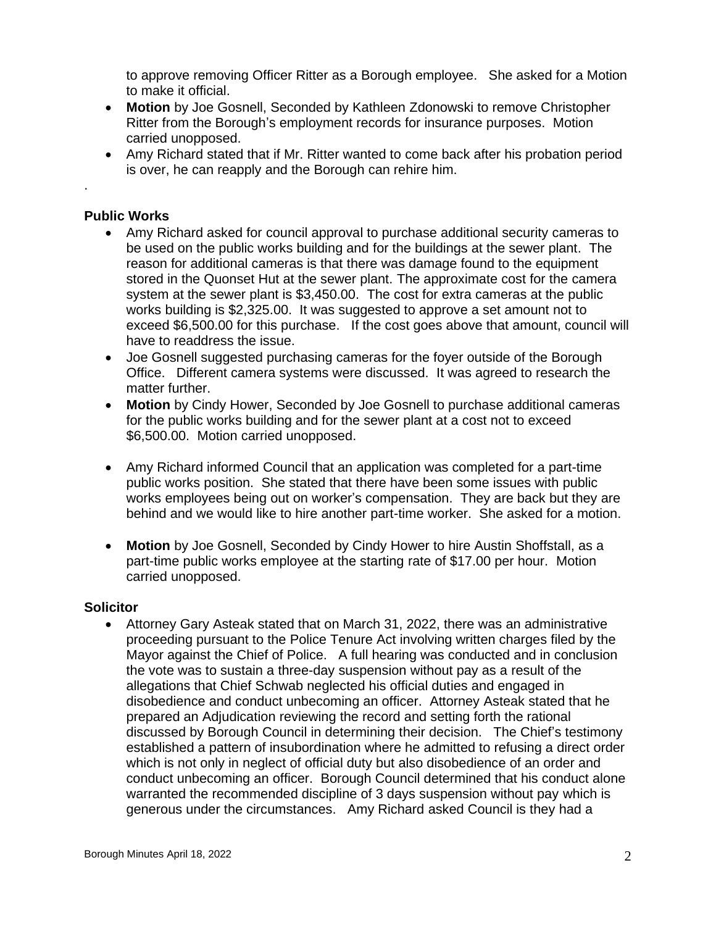to approve removing Officer Ritter as a Borough employee. She asked for a Motion to make it official.

- **Motion** by Joe Gosnell, Seconded by Kathleen Zdonowski to remove Christopher Ritter from the Borough's employment records for insurance purposes. Motion carried unopposed.
- Amy Richard stated that if Mr. Ritter wanted to come back after his probation period is over, he can reapply and the Borough can rehire him.

### **Public Works**

.

- Amy Richard asked for council approval to purchase additional security cameras to be used on the public works building and for the buildings at the sewer plant. The reason for additional cameras is that there was damage found to the equipment stored in the Quonset Hut at the sewer plant. The approximate cost for the camera system at the sewer plant is \$3,450.00. The cost for extra cameras at the public works building is \$2,325.00. It was suggested to approve a set amount not to exceed \$6,500.00 for this purchase. If the cost goes above that amount, council will have to readdress the issue.
- Joe Gosnell suggested purchasing cameras for the foyer outside of the Borough Office. Different camera systems were discussed. It was agreed to research the matter further.
- **Motion** by Cindy Hower, Seconded by Joe Gosnell to purchase additional cameras for the public works building and for the sewer plant at a cost not to exceed \$6,500.00. Motion carried unopposed.
- Amy Richard informed Council that an application was completed for a part-time public works position. She stated that there have been some issues with public works employees being out on worker's compensation. They are back but they are behind and we would like to hire another part-time worker. She asked for a motion.
- **Motion** by Joe Gosnell, Seconded by Cindy Hower to hire Austin Shoffstall, as a part-time public works employee at the starting rate of \$17.00 per hour. Motion carried unopposed.

### **Solicitor**

• Attorney Gary Asteak stated that on March 31, 2022, there was an administrative proceeding pursuant to the Police Tenure Act involving written charges filed by the Mayor against the Chief of Police. A full hearing was conducted and in conclusion the vote was to sustain a three-day suspension without pay as a result of the allegations that Chief Schwab neglected his official duties and engaged in disobedience and conduct unbecoming an officer. Attorney Asteak stated that he prepared an Adjudication reviewing the record and setting forth the rational discussed by Borough Council in determining their decision. The Chief's testimony established a pattern of insubordination where he admitted to refusing a direct order which is not only in neglect of official duty but also disobedience of an order and conduct unbecoming an officer. Borough Council determined that his conduct alone warranted the recommended discipline of 3 days suspension without pay which is generous under the circumstances. Amy Richard asked Council is they had a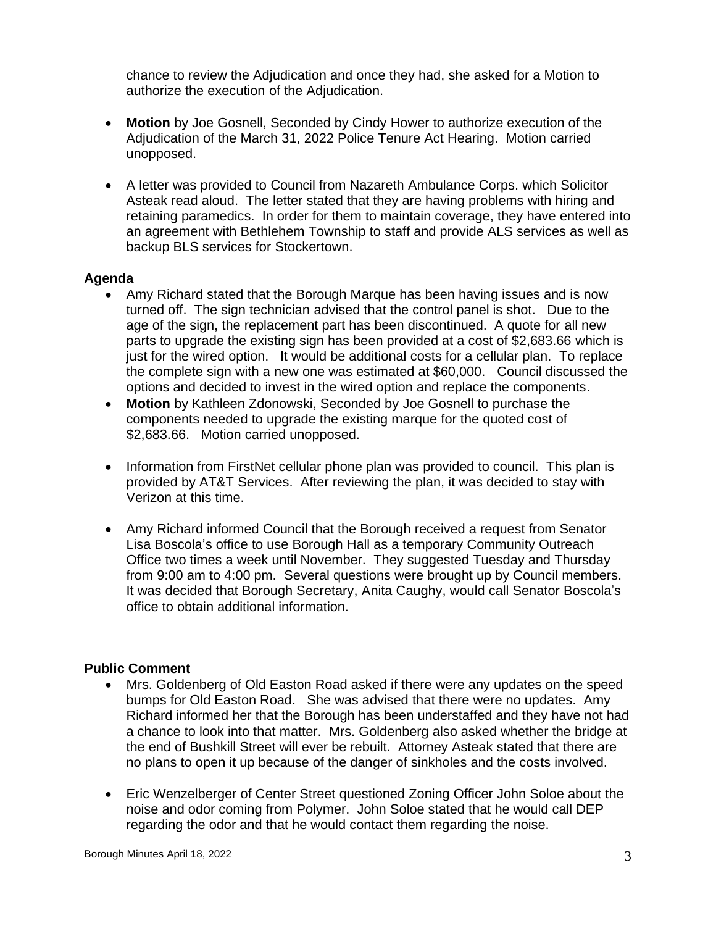chance to review the Adjudication and once they had, she asked for a Motion to authorize the execution of the Adjudication.

- **Motion** by Joe Gosnell, Seconded by Cindy Hower to authorize execution of the Adjudication of the March 31, 2022 Police Tenure Act Hearing. Motion carried unopposed.
- A letter was provided to Council from Nazareth Ambulance Corps. which Solicitor Asteak read aloud. The letter stated that they are having problems with hiring and retaining paramedics. In order for them to maintain coverage, they have entered into an agreement with Bethlehem Township to staff and provide ALS services as well as backup BLS services for Stockertown.

# **Agenda**

- Amy Richard stated that the Borough Marque has been having issues and is now turned off. The sign technician advised that the control panel is shot. Due to the age of the sign, the replacement part has been discontinued. A quote for all new parts to upgrade the existing sign has been provided at a cost of \$2,683.66 which is just for the wired option. It would be additional costs for a cellular plan. To replace the complete sign with a new one was estimated at \$60,000. Council discussed the options and decided to invest in the wired option and replace the components.
- **Motion** by Kathleen Zdonowski, Seconded by Joe Gosnell to purchase the components needed to upgrade the existing marque for the quoted cost of \$2,683.66. Motion carried unopposed.
- Information from FirstNet cellular phone plan was provided to council. This plan is provided by AT&T Services. After reviewing the plan, it was decided to stay with Verizon at this time.
- Amy Richard informed Council that the Borough received a request from Senator Lisa Boscola's office to use Borough Hall as a temporary Community Outreach Office two times a week until November. They suggested Tuesday and Thursday from 9:00 am to 4:00 pm. Several questions were brought up by Council members. It was decided that Borough Secretary, Anita Caughy, would call Senator Boscola's office to obtain additional information.

### **Public Comment**

- Mrs. Goldenberg of Old Easton Road asked if there were any updates on the speed bumps for Old Easton Road. She was advised that there were no updates. Amy Richard informed her that the Borough has been understaffed and they have not had a chance to look into that matter. Mrs. Goldenberg also asked whether the bridge at the end of Bushkill Street will ever be rebuilt. Attorney Asteak stated that there are no plans to open it up because of the danger of sinkholes and the costs involved.
- Eric Wenzelberger of Center Street questioned Zoning Officer John Soloe about the noise and odor coming from Polymer. John Soloe stated that he would call DEP regarding the odor and that he would contact them regarding the noise.